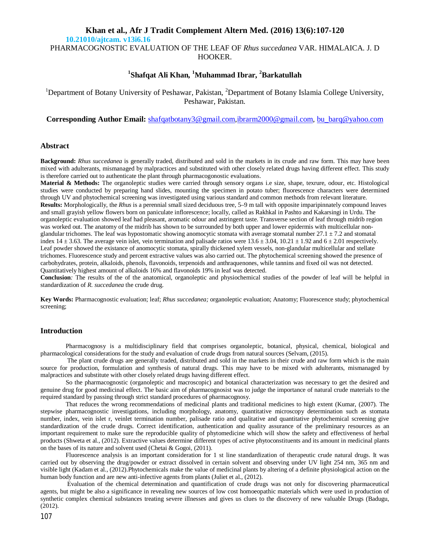# **Khan et al., Afr J Tradit Complement Altern Med. (2016) 13(6):107-120 10.21010/ajtcam. v13i6.16** PHARMACOGNOSTIC EVALUATION OF THE LEAF OF *Rhus succedanea* VAR. HIMALAICA. J. D HOOKER.

# **1 Shafqat Ali Khan, <sup>1</sup>Muhammad Ibrar, <sup>2</sup>Barkatullah**

<sup>1</sup>Department of Botany University of Peshawar, Pakistan, <sup>2</sup>Department of Botany Islamia College University, Peshawar, Pakistan.

**Corresponding Author Email:** [shafqatbotany3@gmail.com,ibrarm2000@gmail.com,](mailto:shafqatbotany3@gmail.com,ibrarm2000@gmail.com,) [bu\\_barq@yahoo.com](mailto:bu_barq@yahoo.com)

#### **Abstract**

**Background:** *Rhus succedanea* is generally traded, distributed and sold in the markets in its crude and raw form. This may have been mixed with adulterants, mismanaged by malpractices and substituted with other closely related drugs having different effect. This study is therefore carried out to authenticate the plant through pharmacogonostic evaluations.

**Material & Methods:** The organoleptic studies were carried through sensory organs i.e size, shape, texrure, odour, etc. Histological studies were conducted by preparing hand slides, mounting the specimen in potato tuber; fluorescence characters were determined through UV and phytochemical screening was investigated using various standard and common methods from relevant literature. **Results:** Morphologically, the *Rhus* is a perennial small sized deciduous tree, 5–9 m tall with opposite imparipinnately compound leaves and small grayish yellow flowers born on paniculate inflorescence; locally, called as Rakhkal in Pashto and Kakarsingi in Urdu. The organoleptic evaluation showed leaf had pleasant, aromatic odour and astringent taste. Transverse section of leaf through midrib region was worked out. The anatomy of the midrib has shown to be surrounded by both upper and lower epidermis with multicellular nonglandular trichomes. The leaf was hypostomatic showing anomocytic stomata with average stomatal number  $27.1 \pm 7.2$  and stomatal index  $14 \pm 3.63$ . The average vein islet, vein termination and palisade ratios were  $13.6 \pm 3.04$ ,  $10.21 \pm 1.92$  and  $6 \pm 2.01$  respectively. Leaf powder showed the existance of anomocytic stomata, spirally thickened xylem vessels, non-glandular multicellular and stellate trichomes. Fluorescence study and percent extractive values was also carried out. The phytochemical screening showed the presence of carbohydrates, protein, alkaloids, phenols, flavonoids, terpenoids and anthraquenones, while tannins and fixed oil was not detected. Quantitatively highest amount of alkaloids 16% and flavonoids 19% in leaf was detected.

**Conclusion***:* The results of the of the anatomical, organoleptic and physiochemical studies of the powder of leaf will be helpful in standardization of *R. succedanea* the crude drug.

**Key Words:** Pharmacognostic evaluation; leaf; *Rhus succedanea;* organoleptic evaluation; Anatomy; Fluorescence study; phytochemical screening;

#### **Introduction**

Pharmacognosy is a multidisciplinary field that comprises organoleptic, botanical, physical, chemical, biological and pharmacological considerations for the study and evaluation of crude drugs from natural sources (Selvam, (2015).

The plant crude drugs are generally traded, distributed and sold in the markets in their crude and raw form which is the main source for production, formulation and synthesis of natural drugs. This may have to be mixed with adulterants, mismanaged by malpractices and substitute with other closely related drugs having different effect.

So the pharmacognostic (organoleptic and macroscopic) and botanical characterization was necessary to get the desired and genuine drug for good medicinal effect. The basic aim of pharmacognosist was to judge the importance of natural crude materials to the required standard by passing through strict standard procedures of pharmacognosy.

That reduces the wrong recommendations of medicinal plants and traditional medicines to high extent (Kumar, (2007). The stepwise pharmacognostic investigations, including morphology, anatomy, quantitative microscopy determination such as stomata number, index, vein islet r, veinlet termination number, palisade ratio and qualitative and quantitative phytochemical screening give standardization of the crude drugs. Correct identification, authentication and quality assurance of the preliminary resources as an important requirement to make sure the reproducible quality of phytomedicine which will show the safety and effectiveness of herbal products (Shweta et al., (2012). Extractive values determine different types of active phytoconstituents and its amount in medicinal plants on the bases of its nature and solvent used (Chetai & Gogoi, (2011).

Fluorescence analysis is an important consideration for 1 st line standardization of therapeutic crude natural drugs. It was carried out by observing the drug/powder or extract dissolved in certain solvent and observing under UV light 254 nm, 365 nm and visible light (Kadam et al., (2012).Phytochemicals make the value of medicinal plants by altering of a definite physiological action on the human body function and are new anti-infective agents from plants (Juliet et al*.*, (2012).

Evaluation of the chemical determination and quantification of crude drugs was not only for discovering pharmaceutical agents, but might be also a significance in revealing new sources of low cost homoeopathic materials which were used in production of synthetic complex chemical substances treating severe illnesses and gives us clues to the discovery of new valuable Drugs (Badugu, (2012).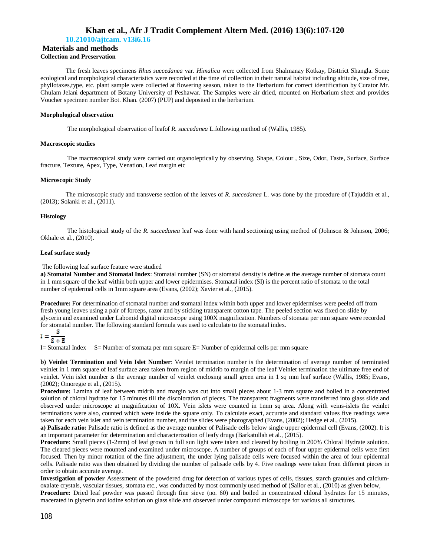**10.21010/ajtcam. v13i6.16**

#### **Materials and methods Collection and Preservation**

The fresh leaves specimens *Rhus succedanea* var. *Himalica* were collected from Shalmanay Kotkay, Disttrict Shangla. Some ecological and morphological characteristics were recorded at the time of collection in their natural habitat including altitude, size of tree, phyllotaxes,type, etc. plant sample were collected at flowering season, taken to the Herbarium for correct identification by Curator Mr. Ghulam Jelani department of Botany University of Peshawar. The Samples were air dried, mounted on Herbarium sheet and provides Voucher specimen number Bot. Khan. (2007) (PUP) and deposited in the herbarium.

#### **Morphological observation**

The morphological observation of leafof *R. succedanea* L.following method of (Wallis, 1985).

#### **Macroscopic studies**

The macroscopical study were carried out organoleptically by observing, Shape, Colour , Size, Odor, Taste, Surface, Surface fracture, Texture, Apex, Type, Venation, Leaf margin etc

#### **Microscopic Study**

The microscopic study and transverse section of the leaves of *R. succedanea* L. was done by the procedure of (Tajuddin et al., (2013); Solanki et al*.,* (2011).

#### **Histology**

The histological study of the *R. succedanea* leaf was done with hand sectioning using method of (Johnson & Johnson, 2006; Okhale et al*.,* (2010).

#### **Leaf surface study**

The following leaf surface feature were studied

**a) Stomatal Number and Stomatal Index**: Stomatal number (SN) or stomatal density is define as the average number of stomata count in 1 mm square of the leaf within both upper and lower epidermises. Stomatal index (SI) is the percent ratio of stomata to the total number of epidermal cells in 1mm square area (Evans, (2002); Xavier et al*.,* (2015).

**Procedure:** For determination of stomatal number and stomatal index within both upper and lower epidermises were peeled off from fresh young leaves using a pair of forceps, razor and by sticking transparent cotton tape. The peeled section was fixed on slide by glycerin and examined under Labomid digital microscope using 100X magnification. Numbers of stomata per mm square were recorded for stomatal number. The following standard formula was used to calculate to the stomatal index.

 $I = \frac{S}{S + E}$ <br>I= Stomatal Index S= Number of stomata per mm square E= Number of epidermal cells per mm square

**b) Veinlet Termination and Vein Islet Number**: Veinlet termination number is the determination of average number of terminated veinlet in 1 mm square of leaf surface area taken from region of midrib to margin of the leaf Veinlet termination the ultimate free end of veinlet. Vein islet number is the average number of veinlet enclosing small green area in 1 sq mm leaf surface (Wallis, 1985; Evans, (2002); Omoregie et al., (2015).

**Procedure:** Lamina of leaf between midrib and margin was cut into small pieces about 1-3 mm square and boiled in a concentrated solution of chloral hydrate for 15 minutes till the discoloration of pieces. The transparent fragments were transferred into glass slide and observed under microscope at magnification of 10X. Vein islets were counted in 1mm sq area. Along with veins-islets the veinlet terminations were also, counted which were inside the square only. To calculate exact, accurate and standard values five readings were taken for each vein islet and vein termination number, and the slides were photographed (Evans, (2002); Hedge et al*.,* (2015).

**a) Palisade ratio:** Palisade ratio is defined as the average number of Palisade cells below single upper epidermal cell (Evans, (2002). It is an important parameter for determination and characterization of leafy drugs (Barkatullah et al., (2015).

**Procedure**: Small pieces (1-2mm) of leaf grown in full sun light were taken and cleared by boiling in 200% Chloral Hydrate solution. The cleared pieces were mounted and examined under microscope. A number of groups of each of four upper epidermal cells were first focused. Then by minor rotation of the fine adjustment, the under lying palisade cells were focused within the area of four epidermal cells. Palisade ratio was then obtained by dividing the number of palisade cells by 4. Five readings were taken from different pieces in order to obtain accurate average.

**Investigation of powder** Assessment of the powdered drug for detection of various types of cells, tissues, starch granules and calciumoxalate crystals, vascular tissues, stomata etc., was conducted by most commonly used method of (Sailor et al*.,* (2010) as given below,

**Procedure:** Dried leaf powder was passed through fine sieve (no. 60) and boiled in concentrated chloral hydrates for 15 minutes, macerated in glycerin and iodine solution on glass slide and observed under compound microscope for various all structures.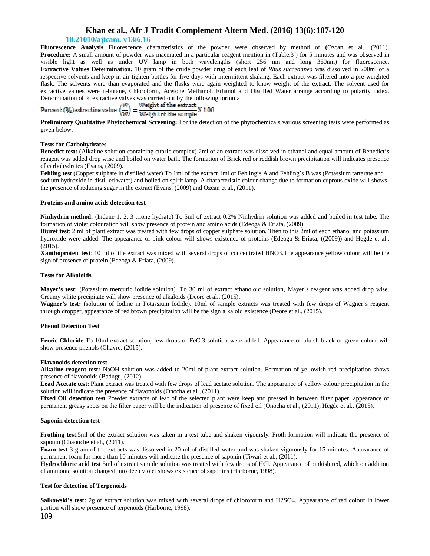#### **10.21010/ajtcam. v13i6.16**

**Fluorescence Analysis** Fluorescence characteristics of the powder were observed by method of **(**Ozcan et al., (2011). **Procedure:** A small amount of powder was macerated in a particular reagent mention in (Table.3) for 5 minutes and was observed in visible light as well as under UV lamp in both wavelengths (short 256 nm and long 360nm) for fluorescence. **Extractive Values Determination.** 10 gram of the crude powder drug of each leaf of *Rhus succedanea* was dissolved in 200ml of a respective solvents and keep in air tighten bottles for five days with intermittent shaking. Each extract was filtered into a pre-weighted flask. The solvents were than evaporated and the flasks were again weighted to know weight of the extract. The solvent used for extractive values were n-butane, Chloroform, Acetone Methanol, Ethanol and Distilled Water arrange according to polarity index.

# Determination of % extractive valves was carried out by the following formula<br>Percent (%)extractive value  $\left(\frac{W}{W}\right) = \frac{Weight \text{ of the extract}}{Weight \text{ of the sample}} X 100$

**Preliminary Qualitative Phytochemical Screening:** For the detection of the phytochemicals various screening tests were performed as given below.

#### **Tests for Carbohydrates**

**Benedict test:** (Alkaline solution containing cupric complex) 2ml of an extract was dissolved in ethanol and equal amount of Benedict's reagent was added drop wise and boiled on water bath. The formation of Brick red or reddish brown precipitation will indicates presence of carbohydrates (Evans, (2009).

**Fehling test** (Copper sulphate in distilled water) To 1ml of the extract 1ml of Fehling's A and Fehling's B was (Potassium tartarate and sodium hydroxide in distilled water) and boiled on spirit lamp. A characteristic colour change due to formation cuprous oxide will shows the presence of reducing sugar in the extract (Evans, (2009) and Ozcan et al*.,* (2011).

#### **Proteins and amino acids detection test**

**Ninhydrin method:** (Indane 1, 2, 3 trione hydrate) To 5ml of extract 0.2% Ninhydrin solution was added and boiled in test tube. The formation of violet colouration will show presence of protein and amino acids (Edeoga & Eriata*,* (2009)

**Biuret test**: 2 ml of plant extract was treated with few drops of copper sulphate solution. Then to this 2ml of each ethanol and potassium hydroxide were added. The appearance of pink colour will shows existence of proteins (Edeoga & Eriata*,* ((2009)) and Hegde et al., (2015).

**Xanthoproteic test**: 10 ml of the extract was mixed with several drops of concentrated HNO3.The appearance yellow colour will be the sign of presence of protein (Edeoga & Eriata*,* (2009).

#### **Tests for Alkaloids**

**Mayer's test:** (Potassium mercuric iodide solution). To 30 ml of extract ethanoloic solution, Mayer's reagent was added drop wise. Creamy white precipitate will show presence of alkaloids (Deore et al., (2015).

**Wagner's test:** (solution of Iodine in Potassium Iodide). 10ml of sample extracts was treated with few drops of Wagner's reagent through dropper, appearance of red brown precipitation will be the sign alkaloid existence (Deore et al., (2015).

#### **Phenol Detection Test**

**Ferric Chloride** To 10ml extract solution, few drops of FeCl3 solution were added. Appearance of bluish black or green colour will show presence phenols (Chavre, (2015).

#### **Flavonoids detection test**

**Alkaline reagent test:** NaOH solution was added to 20ml of plant extract solution. Formation of yellowish red precipitation shows presence of flavonoids (Badugu, (2012).

**Lead Acetate test**: Plant extract was treated with few drops of lead acetate solution. The appearance of yellow colour precipitation in the solution will indicate the presence of flavonoids (Onocha et al., (2011).

**Fixed Oil detection test** Powder extracts of leaf of the selected plant were keep and pressed in between filter paper, appearance of permanent greasy spots on the filter paper will be the indication of presence of fixed oil (Onocha et al., (2011); Hegde et al., (2015).

#### **Saponin detection test**

**Frothing test**:5ml of the extract solution was taken in a test tube and shaken vigoursly. Froth formation will indicate the presence of saponin (Chaouche et al.,  $(2011)$ .

**Foam test** 3 gram of the extracts was dissolved in 20 ml of distilled water and was shaken vigorously for 15 minutes. Appearance of permanent foam for more than 10 minutes will indicate the presence of saponin (Tiwari et al., (2011).

**Hydrochloric acid test** 5ml of extract sample solution was treated with few drops of HCl. Appearance of pinkish red, which on addition of ammonia solution changed into deep violet shows existence of saponins (Harborne, 1998).

#### **Test for detection of Terpenoids**

**Salkowski's test:** 2g of extract solution was mixed with several drops of chloroform and H2SO4. Appearance of red colour in lower portion will show presence of terpenoids (Harborne, 1998).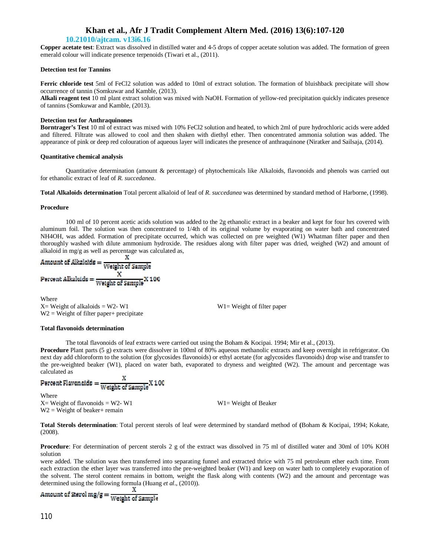#### **10.21010/ajtcam. v13i6.16**

**Copper acetate test**: Extract was dissolved in distilled water and 4-5 drops of copper acetate solution was added. The formation of green emerald colour will indicate presence terpenoids (Tiwari et al., (2011).

#### **Detection test for Tannins**

**Ferric chloride test** 5ml of FeCl2 solution was added to 10ml of extract solution. The formation of bluishback precipitate will show occurrence of tannin (Somkuwar and Kamble, (2013).

**Alkali reagent test** 10 ml plant extract solution was mixed with NaOH. Formation of yellow-red precipitation quickly indicates presence of tannins (Somkuwar and Kamble, (2013).

#### **Detection test for Anthraquinones**

**Borntrager's Test** 10 ml of extract was mixed with 10% FeCl2 solution and heated, to which 2ml of pure hydrochloric acids were added and filtered. Filtrate was allowed to cool and then shaken with diethyl ether. Then concentrated ammonia solution was added. The appearance of pink or deep red colouration of aqueous layer will indicates the presence of anthraquinone (Niratker and Sailsaja, (2014).

#### **Quantitative chemical analysis**

Quantitative determination (amount & percentage) of phytochemicals like Alkaloids, flavonoids and phenols was carried out for ethanolic extract of leaf of *R. succedanea*.

**Total Alkaloids determination** Total percent alkaloid of leaf of *R. succedanea* was determined by standard method of Harborne, (1998).

#### **Procedure**

100 ml of 10 percent acetic acids solution was added to the 2g ethanolic extract in a beaker and kept for four hrs covered with aluminum foil. The solution was then concentrated to 1/4th of its original volume by evaporating on water bath and concentrated NH4OH, was added. Formation of precipitate occurred, which was collected on pre weighted (W1) Whatman filter paper and then thoroughly washed with dilute ammonium hydroxide. The residues along with filter paper was dried, weighed (W2) and amount of alkaloid in mg/g as well as percentage was calculated as,

Amount of Alkaloids = 
$$
\frac{X}{Weight of Sample}
$$
  
Percent Alkaloids =  $\frac{X}{Weight of Sample} \times 100$ 

Where  $X=$  Weight of alkaloids = W2- W1 W1= Weight of filter paper  $W2 = Weight of filter paper + precipitate$ 

#### **Total flavonoids determination**

The total flavonoids of leaf extracts were carried out using the Boham & Kocipai. 1994; Mir et al., (2013).

**Procedure** Plant parts (5 g) extracts were dissolver in 100ml of 80% aqueous methanolic extracts and keep overnight in refrigerator. On next day add chloroform to the solution (for glycosides flavonoids) or ethyl acetate (for aglycosides flavonoids) drop wise and transfer to the pre-weighted beaker (W1), placed on water bath, evaporated to dryness and weighted (W2). The amount and percentage was calculated as

$$
Percent \,Flavonoids = \frac{x}{Weight \, of \, Sample} X \, 100
$$

Where  $X=$  Weight of flavonoids = W2- W1 W1= Weight of Beaker  $W2 = Weight of beaker + remain$ 

**Total Sterols determination**: Total percent sterols of leaf were determined by standard method of **(**Boham & Kocipai, 1994; Kokate, (2008).

**Procedure**: For determination of percent sterols 2 g of the extract was dissolved in 75 ml of distilled water and 30ml of 10% KOH solution

were added. The solution was then transferred into separating funnel and extracted thrice with 75 ml petroleum ether each time. From each extraction the ether layer was transferred into the pre-weighted beaker (W1) and keep on water bath to completely evaporation of the solvent. The sterol content remains in bottom, weight the flask along with contents (W2) and the amount and percentage was determined using the following formula (Huang *et al*., (2010)).

Amount of **Second** 
$$
mg/g = \frac{A}{Weight \text{ of Sample}}
$$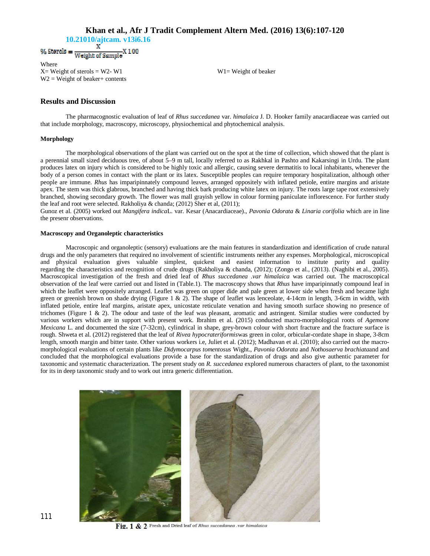**10.21010/ajtcam. v13i6.16**

#### $\frac{x}{\text{Weight of Sample}}$  X 100 % Sterols

Where  $X=$  Weight of sterols = W2- W1 W1 W1= Weight of beaker  $W2 = Weight of beaker + contents$ 

**Results and Discussion**

The pharmacognostic evaluation of leaf of *Rhus succedanea* var. *himalaica* J. D. Hooker family anacardiaceae was carried out that include morphology, macroscopy, microscopy, physiochemical and phytochemical analysis.

#### **Morphology**

The morphological observations of the plant was carried out on the spot at the time of collection, which showed that the plant is a perennial small sized deciduous tree, of about 5–9 m tall, locally referred to as Rakhkal in Pashto and Kakarsingi in Urdu. The plant produces latex on injury which is considered to be highly toxic and allergic, causing severe dermatitis to local inhabitants, whenever the body of a person comes in contact with the plant or its latex. Susceptible peoples can require temporary hospitalization, although other people are immune. *Rhus* has imparipinnately compound leaves, arranged oppositely with inflated petiole, entire margins and aristate apex. The stem was thick glabrous, branched and having thick bark producing white latex on injury. The roots large tape root extensively branched, showing secondary growth. The flower was mall grayish yellow in colour forming paniculate inflorescence. For further study the leaf and root were selected. Rakholiya & chanda; (2012) Sher et al, (2011);

Gunoz et al. (2005) worked out *Mangifera indica*L. var. Kesar (Anacardiaceae)., *Pavonia Odorata* & *Linaria corifolia* which are in line the presenr observations.

#### **Macroscopy and Organoleptic characteristics**

Macroscopic and organoleptic (sensory) evaluations are the main features in standardization and identification of crude natural drugs and the only parameters that required no involvement of scientific instruments neither any expenses. Morphological, microscopical and physical evaluation gives valuable simplest, quickest and easiest information to institute purity and quality regarding the characteristics and recognition of crude drugs (Rakholiya & chanda, (2012); (Zongo et al., (2013). (Naghibi et al., 2005). Macroscopical investigation of the fresh and dried leaf of *Rhus succedanea .var himalaica* was carried out. The macroscopical observation of the leaf were carried out and listed in (Table.1). The macroscopy shows that *Rhus* have imparipinnatly compound leaf in which the leaflet were oppositely arranged. Leaflet was green on upper dide and pale green at lower side when fresh and became light green or greenish brown on shade drying (Figure 1 & 2). The shape of leaflet was lenceolate, 4-14cm in length, 3-6cm in width, with inflated petiole, entire leaf margins, aristate apex, unicostate reticulate venation and having smooth surface showing no presence of trichomes (Figure 1 & 2). The odour and taste of the leaf was pleasant, aromatic and astringent. Similar studies were conducted by various workers which are in support with present work. Ibrahim et al. (2015) conducted macro-morphological roots of *Agemone Mexicana* L. and documented the size (7-32cm), cylindrical in shape, grey-brown colour with short fracture and the fracture surface is rough. Shweta et al. (2012) registered that the leaf of *Rivea hypocrateriformis*was green in color, orbicular-cordate shape in shape, 3-8cm length, smooth margin and bitter taste. Other various workers i.e, Juliet et al*.* (2012); Madhavan et al. (2010); also carried out the macromorphological evaluations of certain plants like *Didymocarpus tomentosus* Wight., *Pavonia Odorata* and *Nothosaerva brachiata*and and concluded that the morphological evaluations provide a base for the standardization of drugs and also give authentic parameter for taxonomic and systematic characterization. The present study on *R. succedanea* explored numerous characters of plant, to the taxonomist for its in deep taxonomic study and to work out intra generic differentiation.



Fig. 1 & 2. Fresh and Dried leaf of Rhus succedanea .var himalaica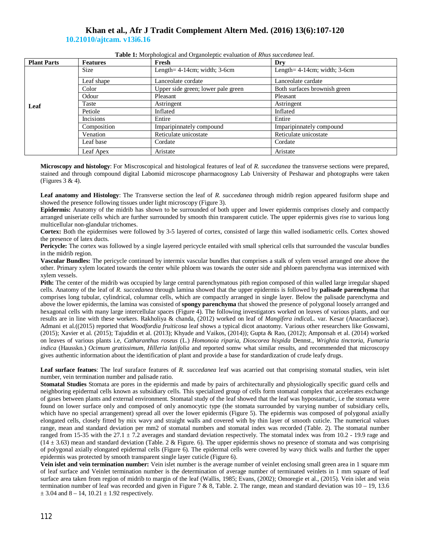## **Khan et al., Afr J Tradit Complement Altern Med. (2016) 13(6):107-120 10.21010/ajtcam. v13i6.16**

| <b>Plant Parts</b> | <b>Features</b>  | Fresh                               | Dry                                 |  |
|--------------------|------------------|-------------------------------------|-------------------------------------|--|
|                    | Size             | Length = $4-14$ cm; width; $3-6$ cm | Length = $4-14$ cm; width; $3-6$ cm |  |
|                    | Leaf shape       | Lanceolate cordate                  | Lanceolate cardate                  |  |
|                    | Color            | Upper side green; lower pale green  | Both surfaces brownish green        |  |
|                    | Odour            | Pleasant                            | Pleasant                            |  |
| Leaf               | Taste            | Astringent                          | Astringent                          |  |
|                    | Petiole          | Inflated                            | Inflated                            |  |
|                    | <b>Incisions</b> | Entire                              | Entire                              |  |
|                    | Composition      | Imparipinnately compound            | Imparipinnately compound            |  |
|                    | Venation         | Reticulate unicostate               | Reticulate unicostate               |  |
|                    | Leaf base        | Cordate                             | Cordate                             |  |
|                    | Leaf Apex        | Aristate                            | Aristate                            |  |

**Table 1:** Morphological and Organoleptic evaluation of *Rhus succedanea* leaf.

**Microscopy and histology**: For Miscroscopical and histological features of leaf of *R. succedanea* the transverse sections were prepared, stained and through compound digital Labomid microscope pharmacognosy Lab University of Peshawar and photographs were taken (Figures  $3 & 4$ ).

**Leaf anatomy and Histology**: The Transverse section the leaf of *R. succedanea* through midrib region appeared fusiform shape and showed the presence following tissues under light microscopy (Figure 3).

**Epidermis:** Anatomy of the midrib has shown to be surrounded of both upper and lower epidermis comprises closely and compactly arranged uniseriate cells which are further surrounded by smooth thin transparent cuticle. The upper epidermis gives rise to various long multicellular non-glandular trichomes.

**Cortex:** Both the epidermises were followed by 3-5 layered of cortex, consisted of large thin walled isodiametric cells. Cortex showed the presence of latex ducts.

Pericycle: The cortex was followed by a single layered pericycle entailed with small spherical cells that surrounded the vascular bundles in the midrib region.

**Vascular Bundles:** The pericycle continued by intermix vascular bundles that comprises a stalk of xylem vessel arranged one above the other. Primary xylem located towards the center while phloem was towards the outer side and phloem parenchyma was intermixed with xylem vessels.

**Pith:** The center of the midrib was occupied by large central parenchymatous pith region composed of thin walled large irregular shaped cells. Anatomy of the leaf of *R. succedanea* through lamina showed that the upper epidermis is followed by **palisade parenchyma** that comprises long tubular, cylindrical, columnar cells, which are compactly arranged in single layer. Below the palisade parenchyma and above the lower epidermis, the lamina was consisted of **spongy parenchyma** that showed the presence of polygonal loosely arranged and hexagonal cells with many large intercellular spaces (Figure 4). The following investigators worked on leaves of various plants, and our results are in line with these workers. Rakholiya & chanda, (2012) worked on leaf of *Mangifera indica*L. var. Kesar (Anacardiaceae). Admani et al*.*((2015) reported that *Woodfordia fruiticosa* leaf shows a typical dicot anaotomy. Various other researchers like Goswami, (2015); Xavier et al*.* (2015); Tajuddin et al. (2013); Khyade and Vaikos, (2014)); Gupta & Rao, (2012); Amponsah et al. (2014) worked on leaves of various plants i.e, *Catharanthus roseus* (L.) *Homonoia riparia, Dioscorea hispida* Dennst., *Wrightia tinctoria, Fumaria indica* (Hausskn.) *Ocimum gratissimum*, *Hilleria latifolia* and reported somw what similar results, and recommended that microscopy gives authentic information about the identification of plant and provide a base for standardization of crude leafy drugs.

Leaf surface featues: The leaf suraface features of *R. succedanea* leaf was acarried out that comprising stomatal studies, vein islet number, vein termination number and palisade ratio.

**Stomatal Studies** Stomata are pores in the epidermis and made by pairs of architecturally and physiologically specific guard cells and neighboring epidermal cells known as subsidiary cells. This specialized group of cells form stomatal complex that accelerates exchange of gases between plants and external environment. Stomatal study of the leaf showed that the leaf was hypostamatic, i.e the stomata were found on lower surface only and composed of only anomocytic type (the stomata surrounded by varying number of subsidiary cells, which have no special arrangement) spread all over the lower epidermis (Figure 5). The epidermis was composed of polygonal axially elongated cells, closely fitted by mix wavy and straight walls and covered with by thin layer of smooth cuticle. The numerical values range, mean and standard deviation per mm2 of stomatal numbers and stomatal index was recorded (Table. 2). The stomatal number ranged from 15-35 with the  $27.1 \pm 7.2$  averages and standard deviation respectively. The stomatal index was from 10.2 - 19.9 rage and  $(14 \pm 3.63)$  mean and standard deviation (Table. 2 & Figure. 6). The upper epidermis shows no presence of stomata and was comprising of polygonal axially elongated epidermal cells (Figure 6). The epidermal cells were covered by wavy thick walls and further the upper epidermis was protected by smooth transparent single layer cuticle (Figure 6).

**Vein islet and vein termination number:** Vein islet number is the average number of veinlet enclosing small green area in 1 square mm of leaf surface and Veinlet termination number is the determination of average number of terminated veinlets in 1 mm square of leaf surface area taken from region of midrib to margin of the leaf (Wallis, 1985; Evans, (2002); Omoregie et al.*,* (2015). Vein islet and vein termination number of leaf was recorded and given in Figure 7 & 8, Table. 2. The range, mean and standard deviation was  $10 - 19$ , 13.6  $\pm$  3.04 and 8 – 14, 10.21  $\pm$  1.92 respectively.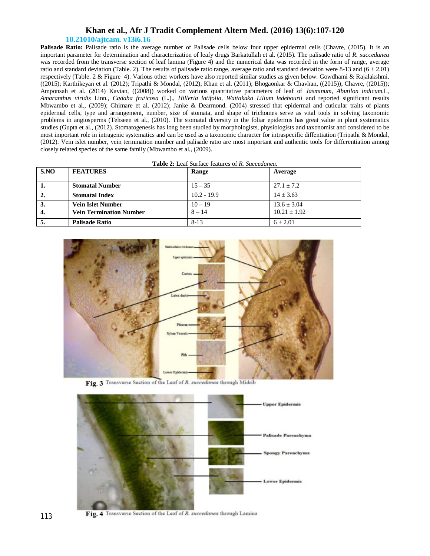#### **10.21010/ajtcam. v13i6.16**

**Palisade Ratio:** Palisade ratio is the average number of Palisade cells below four upper epidermal cells (Chavre, (2015). It is an important parameter for determination and characterization of leafy drugs Barkatullah et al. (2015). The palisade ratio of *R. succedanea*  was recorded from the transverse section of leaf lamina (Figure 4) and the numerical data was recorded in the form of range, average ratio and standard deviation (Table. 2). The results of palisade ratio range, average ratio and standard deviation were 8-13 and ( $6 \pm 2.01$ ) respectively (Table. 2 & Figure 4). Various other workers have also reported similar studies as given below. Gowdhami & Rajalakshmi.  $((2015)$ ; Karthikeyan et al. (2012); Tripathi & Mondal, (2012); Khan et al. (2011); Bhogaonkar & Chavhan, ((2015)); Chavre, ((2015)); Amponsah et al. (2014) Kavian, ((2008)) worked on various quantitative parameters of leaf of *Jasminum, Abutilon indicum*.L, *Amaranthus viridis* Linn., *Cadaba fruticosa* (L.)., *Hilleria latifolia, Wattakaka Lilium ledebourii* and reported significant results Mbwambo et al*.,* (2009); Ghimare et al. (2012); Janke & Dearmond. (2004) stressed that epidermal and cuticular traits of plants epidermal cells, type and arrangement, number, size of stomata, and shape of trichomes serve as vital tools in solving taxonomic problems in angiosperms (Tehseen et al., (2010). The stomatal diversity in the foliar epidermis has great value in plant systematics studies (Gupta et al., (2012). Stomatogenesis has long been studied by morphologists, physiologists and taxonomist and considered to be most important role in intragenic systematics and can be used as a taxonomic character for intraspecific diffentiation (Tripathi & Mondal, (2012). Vein islet number, vein termination number and palisade ratio are most important and authentic tools for differentiation among closely related species of the same family (Mbwambo et al*.,* (2009).

| <b>Table 2:</b> Leaf Surface features of R. Succedanea. |  |  |
|---------------------------------------------------------|--|--|
|---------------------------------------------------------|--|--|

| S.NO             | <b>FEATURES</b>                | Range         | Average          |
|------------------|--------------------------------|---------------|------------------|
|                  |                                |               |                  |
| 1.               | <b>Stomatal Number</b>         | $15 - 35$     | $27.1 + 7.2$     |
| $\overline{2}$ . | <b>Stomatal Index</b>          | $10.2 - 19.9$ | $14 \pm 3.63$    |
| 3.               | <b>Vein Islet Number</b>       | $10 - 19$     | $13.6 \pm 3.04$  |
| 4.               | <b>Vein Termination Number</b> | $8 - 14$      | $10.21 \pm 1.92$ |
| э.               | <b>Palisade Ratio</b>          | $8-13$        | $6 \pm 2.01$     |



Fig. 3 Transverse Section of the Leaf of R. succedanea through Midrib





Fig. 4 Transverse Section of the Leaf of R. succedanea through Lamina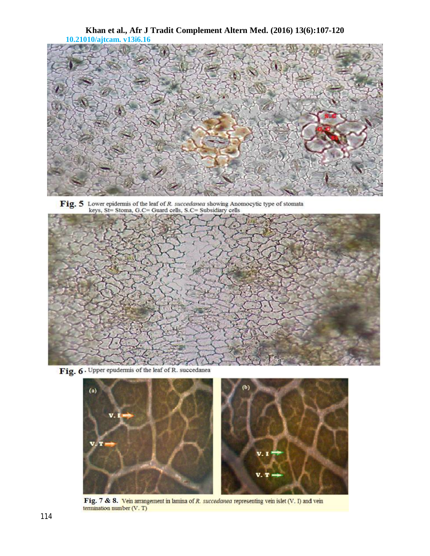**10.21010/ajtcam. v13i6.16**

**Khan et al., Afr J Tradit Complement Altern Med. (2016) 13(6):107-120**

Fig. 5 Lower epidermis of the leaf of *R. succedanea* showing Anomocytic type of stomata keys, St= Stoma, G.C= Guard cells, S.C= Subsidiary cells



Fig. 6 . Upper epudermis of the leaf of R. succedanea



Fig. 7 & 8. Vein arrangement in lamina of R. succedanea representing vein islet (V. I) and vein termination number (V. T)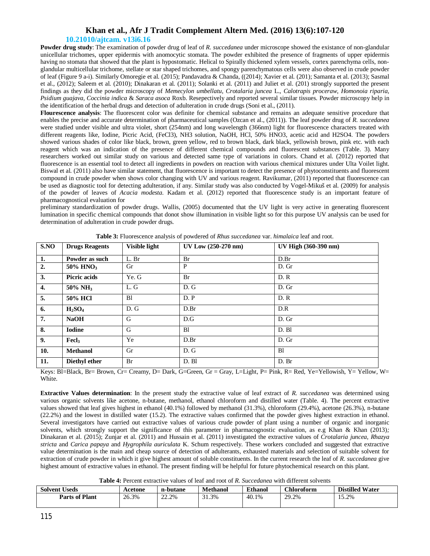#### **10.21010/ajtcam. v13i6.16**

**Powder drug study**: The examination of powder drug of leaf of *R. succedanea* under microscope showed the existance of non-glandular unicellular trichomes, upper epidermis with anomocytic stomata. The powder exhibited the presence of fragments of upper epidermis having no stomata that showed that the plant is hypostomatic. Helical to Spirally thickened xylem vessels, cortex parenchyma cells, nonglandular multicellular trichome, stellate or star shaped trichomes, and spongy parenchymatous cells were also observed in crude powder of leaf (Figure 9 a-i). Similarly Omoregie et al*.* (2015); Pandavadra & Chanda, ((2014); Xavier et al*.* (201); Samanta et al. (2013); Sasmal et al., (2012); Saleem et al*.* (2010); Dinakaran et al*.* (2011); Solanki et al*.* (2011) and Juliet et al. (201) strongly supported the present findings as they did the powder microscopy of *Memecylon umbellatu*, *Crotalaria juncea* L., *Calotrapis proceraw*, *Homonoia riparia, Psidium guajava, Coccinia indica* & *Saraca asoca* Roxb. Resepectively and reported several similar tissues. Powder microscopy help in the identification of the herbal drugs and detection of adulteration in crude drugs (Soni et al., (2011).

**Flourescence analysis**: The fluorescent color was definite for chemical substance and remains an adequate sensitive procedure that enables the precise and accurate determination of pharmaceutical samples (Ozcan et al., (2011)). The leaf powder drug of *R. succedanea*  were studied under visible and ultra violet, short (254nm) and long wavelength (366nm) light for fluorescence characters treated with different reagents like, Iodine, Picric Acid, (FeCl3), NH3 solution, NaOH, HCl, 50% HNO3, acetic acid and H2SO4. The powders showed various shades of color like black, brown, green yellow, red to brown black, dark black, yellowish brown, pink etc. with each reagent which was an indication of the presence of different chemical compounds and fluorescent substances (Table. 3). Many researchers worked out similar study on various and detected same type of variations in colors. Chand et al. (2012) reported that fluorescence is an essential tool to detect all ingredients in powders on reaction with various chemical mixtures under Ulta Voilet light. Biswal et al*.* (2011) also have similar statement, that fluorescence is important to detect the presence of phytoconstituents and fluorescent compound in crude powder when shows color changing with UV and various reagent. Ravikumar, (2011) reported that fluorescence can be used as diagnostic tool for detecting adulteration, if any. Similar study was also conducted by Vogel-Mikuš et al*.* (2009) for analysis of the powder of leaves of *Acacia modesta*. Kadam et al. (2012) reported that fluorescence study is an important feature of pharmacognostical evaluation for

preliminary standardization of powder drugs. Wallis, (2005) documented that the UV light is very active in generating fluorescent lumination in specific chemical compounds that donot show illumination in visible light so for this purpose UV analysis can be used for determination of adulteration in crude powder drugs.

| S.NO             | <b>Drugs Reagents</b>   | <b>Visible light</b> | UV Low (250-270 nm) | UV High (360-390 nm) |
|------------------|-------------------------|----------------------|---------------------|----------------------|
| 1.               | Powder as such          | L. Br                | Br                  | D.Br                 |
| 2.               | $50\%$ HNO <sub>3</sub> | Gr                   | P                   | D. Gr                |
| 3.               | <b>Picric acids</b>     | Ye. G                | <b>Br</b>           | D. R                 |
| $\overline{4}$ . | $50\% \text{ NH}_3$     | L.G                  | D. G                | D. Gr                |
| 5.               | 50% HCl                 | <b>Bl</b>            | D. P                | D. R                 |
| 6.               | $H_2SO_4$               | D. G                 | D.Br                | D.R                  |
| 7.               | <b>NaOH</b>             | G                    | D.G                 | D. Gr                |
| 8.               | <b>Iodine</b>           | G                    | B1                  | D. Bl                |
| 9.               | <b>Fecl</b>             | Ye                   | $D_{\cdot}Br$       | D. Gr                |
| 10.              | <b>Methanol</b>         | Gr                   | D. G                | B1                   |
| 11.              | Diethyl ether           | Br                   | D. Bl               | D. Br                |

**Table 3:** Fluorescence analysis of powdered of *Rhus succedanea* var. *himalaica* leaf and root.

Keys: Bl=Black, Br= Brown, Cr= Creamy, D= Dark, G=Green, Gr = Gray, L=Light, P= Pink, R= Red, Ye=Yellowish, Y= Yellow, W= White.

**Extractive Values determination**: In the present study the extractive value of leaf extract of *R. succedanea* was determined using various organic solvents like acetone, n-butane, methanol, ethanol chloroform and distilled water (Table. 4). The percent extractive values showed that leaf gives highest in ethanol (40.1%) followed by methanol (31.3%), chloroform (29.4%), acetone (26.3%), n-butane (22.2%) and the lowest in distilled water (15.2). The extractive values confirmed that the powder gives highest extraction in ethanol. Several investigators have carried out extractive values of various crude powder of plant using a number of organic and inorganic solvents, which strongly support the significance of this parameter in pharmacognostic evaluation, as e.g Khan & Khan (2013)*;*  Dinakaran et al. (2015); Zunjar et al. (2011) and Hussain et al. (2011) investigated the extractive values of *Crotalaria juncea, Rhazya stricta* and *Carica papaya* and *Hygrophila auriculata* K. Schum respectively. These workers concluded and suggested that extractive value determination is the main and cheap source of detection of adulterants, exhausted materials and selection of suitable solvent for extraction of crude powder in which it give highest amount of soluble constituents. In the current research the leaf of *R. succedanea* give highest amount of extractive values in ethanol. The present finding will be helpful for future phytochemical research on this plant.

|  |  | <b>Table 4:</b> Percent extractive values of leaf and root of R. Succedanea with different solvents |
|--|--|-----------------------------------------------------------------------------------------------------|
|--|--|-----------------------------------------------------------------------------------------------------|

| <b>Solvent</b><br><b>Useds</b> | Acetone | n-butane | <b>Methanol</b> | <b>Ethanol</b> | <b>Chloroform</b> | <b>Distilled Water</b> |
|--------------------------------|---------|----------|-----------------|----------------|-------------------|------------------------|
| <b>Parts of Plant</b>          | 26.3%   | 22.2%    | 1.3%            | 40.1%          | 29.2%             | 15.2%                  |
|                                |         |          |                 |                |                   |                        |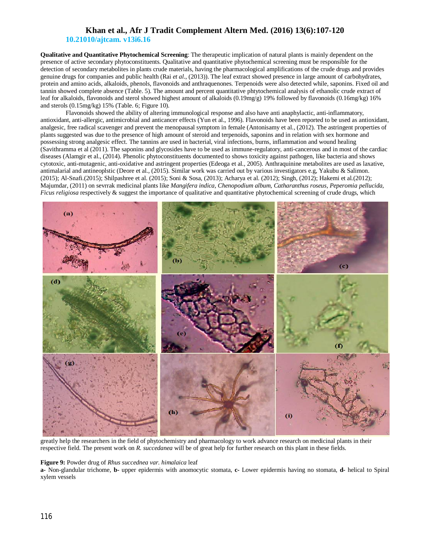**10.21010/ajtcam. v13i6.16**

**Qualitative and Quantitative Phytochemical Screening**: The therapeutic implication of natural plants is mainly dependent on the presence of active secondary phytoconstituents. Qualitative and quantitative phytochemical screening must be responsible for the detection of secondary metabolites in plants crude materials, having the pharmacological amplifications of the crude drugs and provides genuine drugs for companies and public health (Rai *et al*., (2013)). The leaf extract showed presence in large amount of carbohydrates, protein and amino acids, alkaloids, phenols, flavonoids and anthraquenones. Terpenoids were also detected while, saponins. Fixed oil and tannin showed complete absence (Table. 5). The amount and percent quantitative phtytochemical analysis of ethanolic crude extract of leaf for alkaloids, flavonoids and sterol showed highest amount of alkaloids (0.19mg/g) 19% followed by flavonoids (0.16mg/kg) 16% and sterols (0.15mg/kg) 15% (Table. 6; Figure 10).

 Flavonoids showed the ability of altering immunological response and also have anti anaphylactic, anti-inflammatory, antioxidant, anti-allergic, antimicrobial and anticancer effects (Yun et al., 1996). Flavonoids have been reported to be used as antioxidant, analgesic, free radical scavenger and prevent the menopausal symptom in female (Antonisamy et al., (2012). The astringent properties of plants suggested was due to the presence of high amount of steroid and terpenoids, saponins and in relation with sex hormone and possessing strong analgesic effect. The tannins are used in bacterial, viral infections, burns, inflammation and wound healing (Savithramma et al (2011). The saponins and glycosides have to be used as immune-regulatory, anti-cancerous and in most of the cardiac diseases (Alamgir et al., (2014). Phenolic phytoconstituents documented to shows toxicity against pathogen, like bacteria and shows cytotoxic, anti-mutagenic, anti-oxidative and astringent properties (Edeoga et al*.,* 2005). Anthraquinine metabolites are used as laxative, antimalarial and antineoplstic (Deore et al., (2015). Similar work was carried out by various investigators e.g, Yakubu & Salimon. (2015); Al-Snafi.(2015); Shilpashree et al. (2015); Soni & Sosa, (2013); Acharya et al. (2012); Singh, (2012); Hakemi et al*.*(2012); Majumdar, (2011) on sevrrak medicinal plants like *Mangifera indica, Chenopodium album, Catharanthus roseus, Peperomia pellucida, Ficus religiosa* respectively & suggest the importance of qualitative and quantitative phytochemical screening of crude drugs, which



greatly help the researchers in the field of phytochemistry and pharmacology to work advance research on medicinal plants in their respective field. The present work on *R. succedanea* will be of great help for further research on this plant in these fields.

**Figure 9:** Powder drug of *Rhus succednea var. himalaica* leaf

**a-** Non-glandular trichome, **b-** upper epidermis with anomocytic stomata, **c-** Lower epidermis having no stomata, **d-** helical to Spiral xylem vessels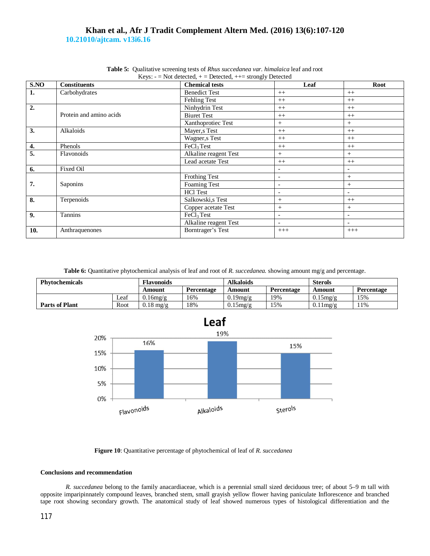# **Khan et al., Afr J Tradit Complement Altern Med. (2016) 13(6):107-120 10.21010/ajtcam. v13i6.16**

| S.NO | <b>Constituents</b>     | $Keys: -$ Not detected, $+$ = Detected, $++$ = strongly Detected<br><b>Chemical tests</b> | Leaf                     | Root                     |
|------|-------------------------|-------------------------------------------------------------------------------------------|--------------------------|--------------------------|
| 1.   | Carbohydrates           | <b>Benedict Test</b>                                                                      | $++$                     | $++$                     |
|      |                         | Fehling Test                                                                              | $^{++}$                  | $++$                     |
| 2.   |                         | Ninhydrin Test                                                                            | $++$                     | $++$                     |
|      | Protein and amino acids | <b>Biuret Test</b>                                                                        | $++$                     | $++$                     |
|      |                         | Xanthoprotiec Test                                                                        | $^{+}$                   | $+$                      |
| 3.   | Alkaloids               | Mayer, STest                                                                              | $++$                     | $++$                     |
|      |                         | Wagner, sTest                                                                             | $^{++}$                  | $++$                     |
| 4.   | Phenols                 | FeCl <sub>3</sub> Test                                                                    | $++$                     | $++$                     |
| 5.   | Flavonoids              | Alkaline reagent Test                                                                     | $+$                      | $+$                      |
|      |                         | Lead acetate Test                                                                         | $^{++}$                  | $++$                     |
| 6.   | <b>Fixed Oil</b>        |                                                                                           | $\overline{\phantom{a}}$ | $\overline{\phantom{a}}$ |
|      |                         | <b>Frothing Test</b>                                                                      | $\overline{\phantom{a}}$ | $+$                      |
| 7.   | Saponins                | <b>Foaming Test</b>                                                                       | $\overline{\phantom{a}}$ | $+$                      |
|      |                         | <b>HCl Test</b>                                                                           | $\overline{\phantom{a}}$ | $\overline{\phantom{a}}$ |
| 8.   | Terpenoids              | Salkowski, sTest                                                                          | $+$                      | $++$                     |
|      |                         | Copper acetate Test                                                                       | $+$                      | $+$                      |
| 9.   | Tannins                 | FeCl <sub>3</sub> Test                                                                    | $\overline{\phantom{a}}$ | $\overline{\phantom{a}}$ |
|      |                         | Alkaline reagent Test                                                                     | $\overline{\phantom{a}}$ | $\overline{\phantom{a}}$ |
| 10.  | Anthraquenones          | Borntrager's Test                                                                         | $+++$                    | $^{+++}$                 |

**Table 5:** Qualitative screening tests of *Rhus succedanea var. himalaica* leaf and root

**Table 6:** Quantitative phytochemical analysis of leaf and root of *R. succedanea.* showing amount mg/g and percentage.

| <b>Phytochemicals</b> | <b>Flavonoids</b> |                     | <b>Alkaloids</b> |             | <b>Sterols</b> |             |            |
|-----------------------|-------------------|---------------------|------------------|-------------|----------------|-------------|------------|
|                       |                   | Amount              | Percentage       | Amount      | Percentage     | Amount      | Percentage |
|                       | Leat              | $0.16$ mg/g         | 16%              | $0.19$ mg/g | 19%            | $0.15$ mg/g | 15%        |
| <b>Parts of Plant</b> | Root              | $0.18 \text{ mg/g}$ | 18%              | $0.15$ mg/g | 15%            | $0.11$ mg/g | 11%        |



**Figure 10**: Quantitative percentage of phytochemical of leaf of *R. succedanea*

#### **Conclusions and recommendation**

*R. succedanea* belong to the family anacardiaceae, which is a perennial small sized deciduous tree; of about 5–9 m tall with opposite imparipinnately compound leaves, branched stem, small grayish yellow flower having paniculate Inflorescence and branched tape root showing secondary growth. The anatomical study of leaf showed numerous types of histological differentiation and the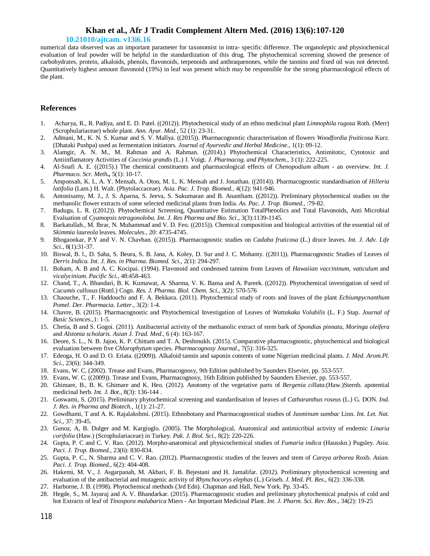#### **10.21010/ajtcam. v13i6.16**

numerical data observed was an important parameter for taxonomist in intra- specific difference. The organoleptic and physiochemical evaluation of leaf powder will be helpful in the standardization of this drug. The phytochemical screening showed the presence of carbohydrates, protein, alkaloids, phenols, flavonoids, terpenoids and anthraquenones, while the tannins and fixed oil was not detected. Quantitatively highest amount flavonoid (19%) in leaf was present which may be responsible for the strong pharmacological effects of the plant.

### **References**

- 1. Acharya, R., R. Padiya, and E. D. Patel. ((2012)). Phytochemical study of an ethno medicinal plant *Limnophila rugosa* Roth. (Merr) (Scrophulariaceae) whole plant. *Ann. Ayur. Med.,* 52 (1): 23-31.
- 2. Admani, M., K. N. S. Kumar and S. V. Mallya. ((2015)). Pharmacognostic characterisation of flowers *Woodfordia fruiticosa* Kurz. (Dhataki Pushpa) used as fermentation initiators. *Journal of Ayurvedic and Herbal Medicine*., 1(1): 09-12.
- 3. Alamgir, A. N. M., M. Rahman and A. Rahman. ((2014).) Phytochemical Characteristics, Antimitotic, Cytotoxic and Antiinflamatory Activities of *Coccinia grandis* (L.) J. Voigt. *J. Pharmacog. and Phytochem*., 3 (1): 222-225.
- 4. Al-Snafi A. E. ((2015).) The chemical constituents and pharmacological effects of *Chenopodium album -* an overview. *Int. J. Pharmaco. Scr. Meth***.,** 5(1): 10-17.
- 5. Amponsah, K. I., A. Y. Mensah, A. Otoo, M. L. K. Mensah and J. Jonathan. ((2014)). Pharmacognostic standardisation of *Hilleria latifolia* (Lam.) H. Walt. (Phytolaccaceae). *Asia. Pac. J. Trop. Biomed.,* 4(12): 941-946.
- 6. Antonisamy, M. J., J. S. Aparna, S. Jeeva, S. Sukumaran and B. Anantham. ((2012)). Preliminary phytochemical studies on the methanolic flower extracts of some selected medicinal plants from India. *As. Pac. J. Trop. Biomed.,* :79-82.
- 7. Badugu, L. R. ((2012)). Phytochemical Screening, Quantitative Estimation TotalPhenolics and Total Flavonoids, Anti Microbial Evaluation of *Cyamopsis tetragonoloba. Int. J. Res Pharma and Bio. Sci*., 3(3):1139-1145.
- 8. Barkatullah., M. Ibrar, N. Muhammad and V. D. Feo. ((2015)). Chemical composition and biological activities of the essential oil of *Skimmia laureola* leaves. *Molecules.,* 20: 4735-4745.
- 9. Bhogaonkar, P.Y and V. N. Chavhan. ((2015)). Pharmacognostic studies on *Cadaba fruticosa* (L.) druce leaves. *Int. J. Adv. Life Sci.,* 8(1):31-37.
- 10. Biswal, B. l., D. Saha, S. Beura, S. B. Jana, A. Koley, D. Sur and J. C. Mohanty. ((2011)). Pharmacognostic Studies of Leaves of *Derris Indica. Int. J. Res. in Pharma. Biomed. Sci*., 2(1): 294-297.
- 11. Boham, A. B and A. C. Kocipai. (1994). Flavonoid and condensed tannins from Leaves of *Hawaiian vaccininum, vaticulum* and v*icalycinium. Pacific Sci*., 48:458-463.
- 12. Chand, T., A. Bhandari, B. K. Kumawat, A. Sharma, V. K. Bansa and A. Pareek. ((2012)). Phytochemical investigation of seed of *Cucumis callosus* (Rottl.) Cogn. *Res. J. Pharma. Biol. Chem. Sci*., 3(2): 570-576
- 13. Chaouche, T., F. Haddouchi and F. A. Bekkara. (2011). Phytochemical study of roots and leaves of the plant *Echiumpycnanthum Pomel*. *Der. Pharmacia. Letter.*, 3(2): 1-4.
- 14. Chavre, B. (2015). Pharmacognostic and Phytochemical Investigation of Leaves of *Wattakaka Volubilis* (L. F.) Stap. *Journal of Basic Sciences.,*1: 1-5.
- 15. Chetia, B and S. Gogoi. (2011). Antibacterial activity of the methanolic extract of stem bark of *Spondias pinnata, Moringa oleifera*  and *Alstonia scholaris. Asian J. Trad. Med*., 6 (4): 163-167.
- 16. Deore, S. L., N. B. Jajoo, K. P. Chittam and T. A. Deshmukh. (2015). Comparative pharmacognostic, phytochemical and biological evaluation between five *Chlorophytum* species. *Pharmacognosy Journal*., 7(5): 316-325.
- 17. Edeoga, H. O and D. O. Eriata. ((2009)). Alkaloid tannin and saponin contents of some Nigerian medicinal plants. *J. Med. Arom.Pl. Sci*., 23(6): 344-349.
- 18. Evans, W. C. (2002). Trease and Evans, Pharmacognosy, 9th Edition published by Saunders Elsevier, pp. 553-557.
- 19. Evans, W. C. ((2009)). Trease and Evans, Pharmacognosy, 16th Edition published by Saunders Elsevier, pp. 553-557.
- 20. Ghimare, B., B. K. Ghimare and K. Heo. (2012). Anotomy of the vegetative parts of *Bergenia cillata.*(Haw.)Sternb. apotential medicinal herb. *Int. J. Bot.,* 8(3): 136-144 .
- 21. Goswami, S. (2015). Preliminary phytochemical screening and standardisation of leaves of *Catharanthus roseus* (L.) G. DON. *Ind. J. Res. in Pharma and Biotech.,* 1(1): 21-27.
- 22. Gowdhami, T and A. K. Rajalakshmi. (2015). Ethnobotany and Pharmacognostical studies of *Jasminum sambac* Linn. *Int. Let. Nat. Sci*., 37: 39-45.
- 23. Gunoz, A, B. Dulger and M. Kargioglo. (2005). The Morphological, Anatomical and antimicribial activity of endemic *Linaria corifolia* (Haw.) (Scrophulariaceae) in Turkey. *Pak. J. Biol. Sci.,* 8(2): 220-226.
- 24. Gupta, P. C and C. V. Rao. (2012). Morpho-anatomical and physicochemical studies of *Fumaria indica* (Hausskn.) Pugsley. *Asia. Paci. J. Trop. Biomed*., 23(6): 830-834.
- 25. Gupta, P. C., N. Sharma and C. V. Rao. (2012). Pharmacognostic studies of the leaves and stem of *Careya arborea* Roxb. *Asian. Paci. J. Trop. Biomed*.*,* 6(2): 404-408.
- 26. Hakemi, M. V., J. Asgarpanah, M. Akbari, F. B. Bejestani and H. Jamalifar. (2012). Preliminary phytochemical screening and evaluation of the antibacterial and mutagenic activity of *Rhynchocorys elephas* (L.) Griseb. *J. Med. Pl. Res*., 6(2): 336-338.
- 27. Harborne, J. B. (1998). Phytochemical methods (3rd Edn). Chapman and Hall, New York. Pp. 33-45.
- 28. Hegde, S., M. Jayaraj and A. V. Bhandarkar. (2015). Pharmacognostic studies and preliminary phytochemical pnalysis of cold and hot Extracts of leaf of *Tinospora malabarica* Miers - An Important Medicinal Plant. *Int. J. Pharm. Sci. Rev. Res*., 34(2): 19-25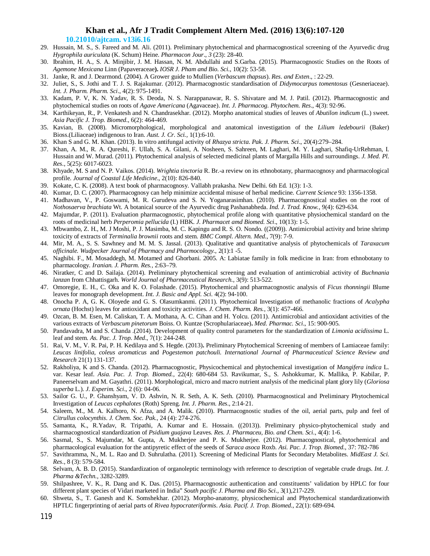**10.21010/ajtcam. v13i6.16**

- 29. Hussain, M. S., S. Fareed and M. Ali. (2011). Preliminary phytochemical and pharmacognostical screening of the Ayurvedic drug *Hygrophila auriculata* (K. Schum) Heine. *Pharmacon Jour*., *3* (23): 28-40.
- 30. Ibrahim, H. A., S. A. Minjibir, J. M. Hassan, N. M. Abdullahi and S.Garba. (2015). Pharmacognostic Studies on the Roots of *Agemone Mexicana* Linn (Papaveraceae**).** *IOSR J. Pham and Bio. Sci*., 10(2): 53-58.
- 31. Janke, R. and J. Dearmond. (2004). A Grower guide to Mullien (*Verbascum thapsus*). *Res. and Exten*., : 22-29.
- 32. Juliet, S., S. Jothi and T. J. S. Rajakumar. (2012). Pharmacognostic standardisation of *Didymocarpus tomentosus* (Gesneriaceae). *Int. J. Pharm. Pharm. Sci*., 4(2): 975-1491.
- 33. Kadam, P. V, K. N. Yadav, R. S. Deoda, N. S. Narappanawar, R. S. Shivatare and M. J. Patil. (2012). Pharmacognostic and phytochemical studies on roots of *Agave Americana* (Agavaceae). *Int. J. Pharmacog. Phytochem. Res*., 4(3): 92-96.
- 34. Karthikeyan, R., P. Venkatesh and N. Chandrasekhar. (2012). Morpho anatomical studies of leaves of *Abutilon indicum* (L.) sweet. *Asia Pacific J. Trop. Biomed*., 6(2): 464-469.
- 35. Kavian, B. (2008). Micromorphological, morphological and anatomical investigation of the *Lilium ledebourii* (Baker) Bioss.(Liliaceae) indigenous to Iran. *Aust. J. Cr. Sci.,* 1(1):6-10.
- 36. Khan S and G. M. Khan. (2013). In vitro antifungal activity of *Rhazya stricta*. *Pak. J. Pharm. Sci*., 20(4):279–284.
- 37. Khan, A. M., R. A. Qureshi, F. Ullah, S. A. Gilani, A. Nosheen, S. Sahreen, M. Laghari, M. Y. Laghari, Shafiq-UrRehman, I. Hussain and W. Murad. (2011). Phytochemical analysis of selected medicinal plants of Margalla Hills and surroundings. *J. Med. Pl. Res*., 5(25): 6017-6023.
- 38. Khyade, M. S and N. P. Vaikos. (2014). *Wrightia tinctoria* R. Br.-a review on its ethnobotany, pharmacognosy and pharmacological profile. *Journal of Coastal Life Medicine*., 2(10): 826-840.
- 39. Kokate, C. K. (2008). A text book of pharmacognosy. Vallabh prakasha. New Delhi. 6th Ed. 1(3): 1-3.
- 40. Kumar, D. C. (2007). Pharmacognosy can help minimize accidental misuse of herbal medicine. *Current Science* 93: 1356-1358.
- 41. Madhavan, V., P. Goswami, M. R. Gurudeva and S. N. Yoganarasimhan. (2010). Pharmacognostical studies on the root of *Nothosaerva brachiata* Wt. A botanical source of the Ayurvedic drug Pashanabheda. *Ind. J. Trad. Know.,* 9(4): 629-634.
- 42. Majumdar, P. (2011). Evaluation pharmacognostic, phytochemical profile along with quantitative physiochemical standard on the roots of medicinal herb *Perperomia pellucida* (I.) HBK. *J. Pharmacet amd Biomed. Sci*., 10(13): 1-5.
- 43. Mbwambo, Z. H., M. J Moshi, P. J. Masimba, M. C. Kapingu and R. S. O. Nondo. ((2009)). Antimicrobial activity and brine shrimp toxicity of extracts of *Terminalia brownii* roots and stem. *BMC Compl. Altern. Med*., 7(9): 7-9.
- 44. Mir, M. A., S. S. Sawhney and M. M. S. Jassal. (2013). Qualitative and quantitative analysis of phytochemicals of *Taraxacum officinale. Wudpecker Journal of Pharmacy and Pharmocology.,* 2(1):1 -5.
- 45. Naghibi. F., M. Mosaddegh, M. Motamed and Ghorbani. 2005. A: Labiatae family in folk medicine in Iran: from ethnobotany to pharmacology. *Iranian. J. Pharm. Res.,* 2:63–79.
- 46. Niratker, C and D. Sailaja. (2014). Preliminary phytochemical screening and evaluation of antimicrobial activity of *Buchnania lanzan* from Chhattisgarh. *World Journal of Pharmaceutical Research.,* 3(9): 513-522.
- 47. Omoregie, E. H., C. Oka and K. O. Folashade. (2015). Phytochemical and pharmacognostic analysis of *Ficus thonningii* Blume leaves for monograph development. *Int. J. Basic and Appl. Sci.* 4(2): 94-100.
- 48. Onocha P. A, G. K. Oloyede and G. S. Olasumkanmi. (2011). Phytochemical Investigation of methanolic fractions of *Acalypha ornata* (Hochst) leaves for antioxidant and toxicity activities. *J. Chem. Pharm. Res.*, 3(1): 457-466.
- 49. Ozcan, B. M. Esen, M. Caliskan, T. A. Mothana, A. C. Cihan and H. Yolcu. (2011). Antimicrobial and antioxidant activities of the various extracts of *Verbascum pinetorum* Boiss. O. Kuntze (Scrophulariaceae)**.** *Med. Pharmac. Sci*., 15: 900-905.
- 50. Pandavadra, M and S. Chanda .(2014). Development of quality control parameters for the standardization of *Limonia acidissima* L. leaf and stem. *As. Pac. J. Trop. Med*., 7(1): 244-248.
- 51. Rai, V. M., V. R. Pai, P. H. Kedilaya and S. Hegde. (2013)**.** Preliminary Phytochemical Screening of members of Lamiaceae family: *Leucas linifolia, coleus aromaticus* and *Pogestemon patchouli. International Journal of Pharmaceutical Science Review and Research* 21(1) 131-137.
- 52. Rakholiya, K and S. Chanda. (2012). Pharmacognostic, Physicochemical and phytochemical investigation of *Mangifera indica* L. var. Kesar leaf. *Asia. Pac. J. Trop. Biomed.,* 22(4): 680-684 53. Ravikumar, S., S. Ashokkumar, K. Mallika, P. Kabilar, P. Paneerselvam and M. Gayathri. (2011). Morphological, micro and macro nutrient analysis of the medicinal plant glory lily (*Gloriosa superba* L.). *J. Experim. Sci*., 2 (6): 04-06.
- 53. Sailor G. U., P. Ghanshyam, V. D. Ashvin, N. R. Seth, A. K. Seth. (2010). Pharmacognostical and Preliminary Phytochemical Investigation of *Leucas cephalotes* (Roth) Spreng. *Int. J. Pharm. Res*., 2:14‐21.
- 54. Saleem, M., M. A. Kalhoro, N. Afza, and A. Malik. (2010). Pharmacognostic studies of the oil, aerial parts, pulp and feel of *Citrullus colocynthis*. *J. Chem. Soc. Pak*., 24 (4): 274-276.
- 55. Samanta, K., R.Yadav, R. Tripathi, A. Kumar and E. Hossain. ((2013)). Preliminary physico-phytochemical study and sharmacognostical standardization of *Psidium guajava* Leaves. *Res. J. Pharmaceu, Bio. and Chem. Sci*., 4(4): 1-6.
- 56. Sasmal, S., S. Majumdar, M. Gupta, A. Mukherjee and P. K. Mukherjee. (2012). Pharmacognostical, phytochemical and pharmacological evaluation for the antipyretic effect of the seeds of *Saraca asoca* Roxb. *Asi. Pac. J. Trop. Biomed*., 37: 782-786
- 57. Savithramma, N., M. L. Rao and D. Suhrulatha*.* (2011)*.* Screening of Medicinal Plants for Secondary Metabolites. *MidEast J. Sci. Res*., 8 (3): 579-584.
- 58. Selvam, A. B. D. (2015). Standardization of organoleptic terminology with reference to description of vegetable crude drugs. *Int. J. Pharma &Techn.,* 3282-3289.
- 59. Shilpashree, V. K., R. Dang and K. Das. (2015). Pharmacognostic authentication and constituents' validation by HPLC for four different plant species of Vidari marketed in India" *South pacific J. Pharma and Bio Sci*., 3(1),217-229.
- 60. Shweta, S., T. Ganesh and K. Somshekhar. (2012). Morpho-anatomy, physicochemical and Phytochemical standardizationwith HPTLC fingerprinting of aerial parts of *Rivea hypocrateriformis*. *Asia. Pacif. J. Trop. Biomed*., 22(1): 689-694.